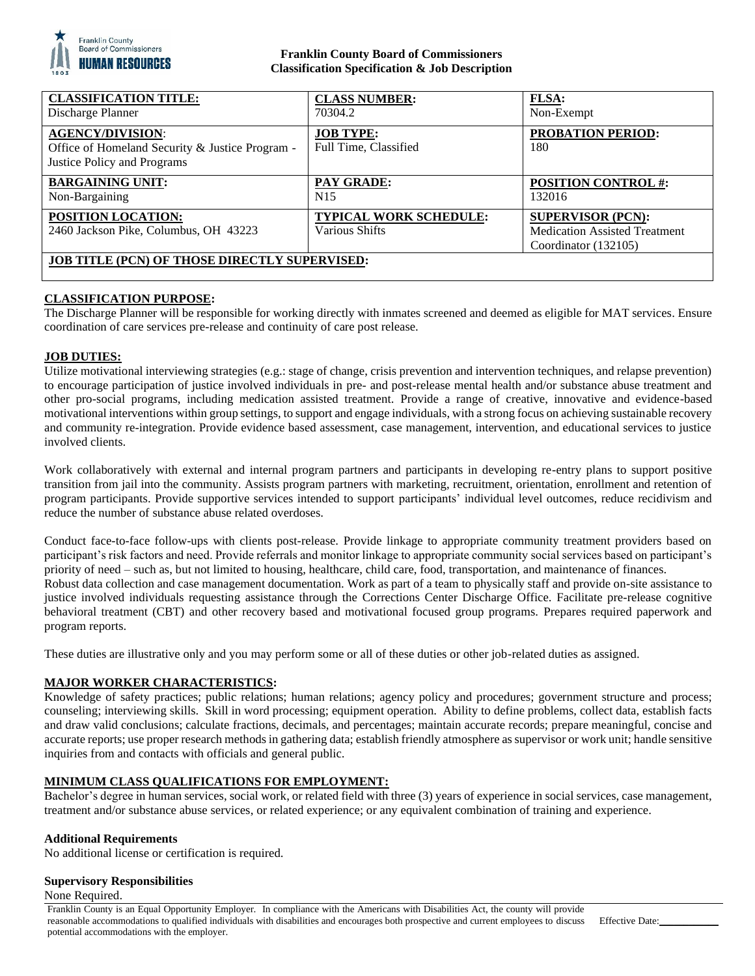

## **Franklin County Board of Commissioners Classification Specification & Job Description**

| <b>CLASSIFICATION TITLE:</b><br>Discharge Planner                                                         | <b>CLASS NUMBER:</b><br>70304.2                 | FLSA:<br>Non-Exempt                                                                      |
|-----------------------------------------------------------------------------------------------------------|-------------------------------------------------|------------------------------------------------------------------------------------------|
| <b>AGENCY/DIVISION:</b><br>Office of Homeland Security & Justice Program -<br>Justice Policy and Programs | <b>JOB TYPE:</b><br>Full Time, Classified       | <b>PROBATION PERIOD:</b><br>180                                                          |
| <b>BARGAINING UNIT:</b><br>Non-Bargaining                                                                 | <b>PAY GRADE:</b><br>N <sub>15</sub>            | <b>POSITION CONTROL #:</b><br>132016                                                     |
| <b>POSITION LOCATION:</b><br>2460 Jackson Pike, Columbus, OH 43223                                        | <b>TYPICAL WORK SCHEDULE:</b><br>Various Shifts | <b>SUPERVISOR (PCN):</b><br><b>Medication Assisted Treatment</b><br>Coordinator (132105) |
| <b>JOB TITLE (PCN) OF THOSE DIRECTLY SUPERVISED:</b>                                                      |                                                 |                                                                                          |

# **CLASSIFICATION PURPOSE:**

The Discharge Planner will be responsible for working directly with inmates screened and deemed as eligible for MAT services. Ensure coordination of care services pre-release and continuity of care post release.

### **JOB DUTIES:**

Utilize motivational interviewing strategies (e.g.: stage of change, crisis prevention and intervention techniques, and relapse prevention) to encourage participation of justice involved individuals in pre- and post-release mental health and/or substance abuse treatment and other pro-social programs, including medication assisted treatment. Provide a range of creative, innovative and evidence-based motivational interventions within group settings, to support and engage individuals, with a strong focus on achieving sustainable recovery and community re-integration. Provide evidence based assessment, case management, intervention, and educational services to justice involved clients.

Work collaboratively with external and internal program partners and participants in developing re-entry plans to support positive transition from jail into the community. Assists program partners with marketing, recruitment, orientation, enrollment and retention of program participants. Provide supportive services intended to support participants' individual level outcomes, reduce recidivism and reduce the number of substance abuse related overdoses.

Conduct face-to-face follow-ups with clients post-release. Provide linkage to appropriate community treatment providers based on participant's risk factors and need. Provide referrals and monitor linkage to appropriate community social services based on participant's priority of need – such as, but not limited to housing, healthcare, child care, food, transportation, and maintenance of finances. Robust data collection and case management documentation. Work as part of a team to physically staff and provide on-site assistance to justice involved individuals requesting assistance through the Corrections Center Discharge Office. Facilitate pre-release cognitive behavioral treatment (CBT) and other recovery based and motivational focused group programs. Prepares required paperwork and program reports.

These duties are illustrative only and you may perform some or all of these duties or other job-related duties as assigned.

#### **MAJOR WORKER CHARACTERISTICS:**

Knowledge of safety practices; public relations; human relations; agency policy and procedures; government structure and process; counseling; interviewing skills. Skill in word processing; equipment operation. Ability to define problems, collect data, establish facts and draw valid conclusions; calculate fractions, decimals, and percentages; maintain accurate records; prepare meaningful, concise and accurate reports; use proper research methods in gathering data; establish friendly atmosphere as supervisor or work unit; handle sensitive inquiries from and contacts with officials and general public.

### **MINIMUM CLASS QUALIFICATIONS FOR EMPLOYMENT:**

Bachelor's degree in human services, social work, or related field with three (3) years of experience in social services, case management, treatment and/or substance abuse services, or related experience; or any equivalent combination of training and experience.

#### **Additional Requirements**

No additional license or certification is required.

#### **Supervisory Responsibilities**

None Required.

Franklin County is an Equal Opportunity Employer. In compliance with the Americans with Disabilities Act, the county will provide reasonable accommodations to qualified individuals with disabilities and encourages both prospective and current employees to discuss potential accommodations with the employer.

Effective Date: